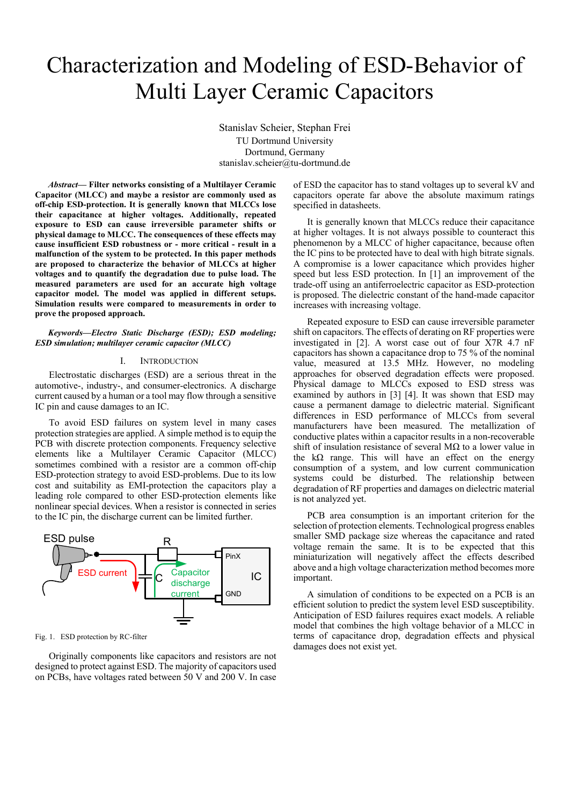# Characterization and Modeling of ESD-Behavior of Multi Layer Ceramic Capacitors

Stanislav Scheier, Stephan Frei TU Dortmund University Dortmund, Germany stanislav.scheier@tu-dortmund.de

*Abstract***— Filter networks consisting of a Multilayer Ceramic Capacitor (MLCC) and maybe a resistor are commonly used as off-chip ESD-protection. It is generally known that MLCCs lose their capacitance at higher voltages. Additionally, repeated exposure to ESD can cause irreversible parameter shifts or physical damage to MLCC. The consequences of these effects may cause insufficient ESD robustness or - more critical - result in a malfunction of the system to be protected. In this paper methods are proposed to characterize the behavior of MLCCs at higher voltages and to quantify the degradation due to pulse load. The measured parameters are used for an accurate high voltage capacitor model. The model was applied in different setups. Simulation results were compared to measurements in order to prove the proposed approach.**

*Keywords—Electro Static Discharge (ESD); ESD modeling; ESD simulation; multilayer ceramic capacitor (MLCC)*

## I. INTRODUCTION

Electrostatic discharges (ESD) are a serious threat in the automotive-, industry-, and consumer-electronics. A discharge current caused by a human or a tool may flow through a sensitive IC pin and cause damages to an IC.

To avoid ESD failures on system level in many cases protection strategies are applied. A simple method is to equip the PCB with discrete protection components. Frequency selective elements like a Multilayer Ceramic Capacitor (MLCC) sometimes combined with a resistor are a common off-chip ESD-protection strategy to avoid ESD-problems. Due to its low cost and suitability as EMI-protection the capacitors play a leading role compared to other ESD-protection elements like nonlinear special devices. When a resistor is connected in series to the IC pin, the discharge current can be limited further.



Fig. 1. ESD protection by RC-filter

Originally components like capacitors and resistors are not designed to protect against ESD. The majority of capacitors used on PCBs, have voltages rated between 50 V and 200 V. In case of ESD the capacitor has to stand voltages up to several kV and capacitors operate far above the absolute maximum ratings specified in datasheets.

It is generally known that MLCCs reduce their capacitance at higher voltages. It is not always possible to counteract this phenomenon by a MLCC of higher capacitance, because often the IC pins to be protected have to deal with high bitrate signals. A compromise is a lower capacitance which provides higher speed but less ESD protection. In [\[1\]](#page-5-0) an improvement of the trade-off using an antiferroelectric capacitor as ESD-protection is proposed. The dielectric constant of the hand-made capacitor increases with increasing voltage.

Repeated exposure to ESD can cause irreversible parameter shift on capacitors. The effects of derating on RF properties were investigated in [\[2\].](#page-5-1) A worst case out of four X7R 4.7 nF capacitors has shown a capacitance drop to 75 % of the nominal value, measured at 13.5 MHz. However, no modeling approaches for observed degradation effects were proposed. Physical damage to MLCCs exposed to ESD stress was examined by authors in [\[3\]](#page-5-2) [\[4\].](#page-5-3) It was shown that ESD may cause a permanent damage to dielectric material. Significant differences in ESD performance of MLCCs from several manufacturers have been measured. The metallization of conductive plates within a capacitor results in a non-recoverable shift of insulation resistance of several MΩ to a lower value in the k $\Omega$  range. This will have an effect on the energy consumption of a system, and low current communication systems could be disturbed. The relationship between degradation of RF properties and damages on dielectric material is not analyzed yet.

PCB area consumption is an important criterion for the selection of protection elements. Technological progress enables smaller SMD package size whereas the capacitance and rated voltage remain the same. It is to be expected that this miniaturization will negatively affect the effects described above and a high voltage characterization method becomes more important.

A simulation of conditions to be expected on a PCB is an efficient solution to predict the system level ESD susceptibility. Anticipation of ESD failures requires exact models. A reliable model that combines the high voltage behavior of a MLCC in terms of capacitance drop, degradation effects and physical damages does not exist yet.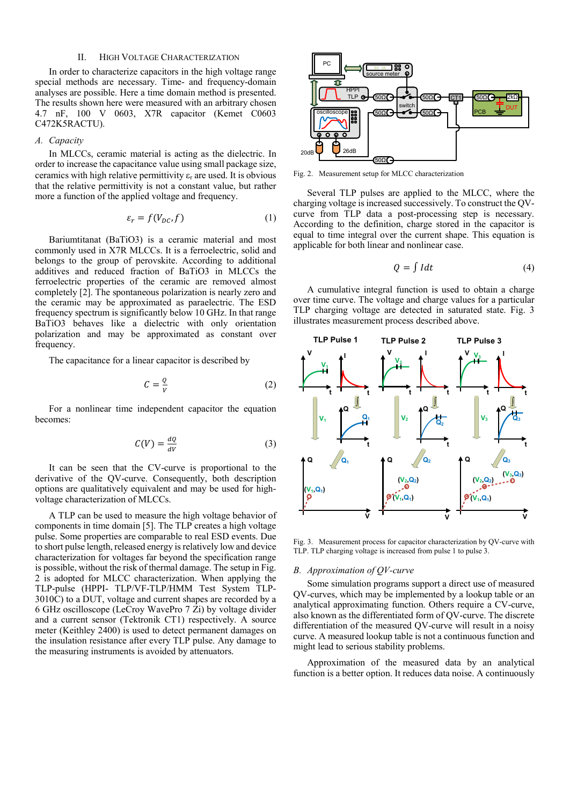# II. HIGH VOLTAGE CHARACTERIZATION

In order to characterize capacitors in the high voltage range special methods are necessary. Time- and frequency-domain analyses are possible. Here a time domain method is presented. The results shown here were measured with an arbitrary chosen 4.7 nF, 100 V 0603, X7R capacitor (Kemet C0603 C472K5RACTU).

# *A. Capacity*

In MLCCs, ceramic material is acting as the dielectric. In order to increase the capacitance value using small package size, ceramics with high relative permittivity  $\varepsilon_r$  are used. It is obvious that the relative permittivity is not a constant value, but rather more a function of the applied voltage and frequency.

$$
\varepsilon_r = f(V_{DC}, f) \tag{1}
$$

Bariumtitanat (BaTiO3) is a ceramic material and most commonly used in X7R MLCCs. It is a ferroelectric, solid and belongs to the group of perovskite. According to additional additives and reduced fraction of BaTiO3 in MLCCs the ferroelectric properties of the ceramic are removed almost completely [\[2\].](#page-5-1) The spontaneous polarization is nearly zero and the ceramic may be approximated as paraelectric. The ESD frequency spectrum is significantly below 10 GHz. In that range BaTiO3 behaves like a dielectric with only orientation polarization and may be approximated as constant over frequency.

The capacitance for a linear capacitor is described by

$$
C = \frac{Q}{V} \tag{2}
$$

For a nonlinear time independent capacitor the equation becomes:

$$
C(V) = \frac{dQ}{dV} \tag{3}
$$

It can be seen that the CV-curve is proportional to the derivative of the QV-curve. Consequently, both description options are qualitatively equivalent and may be used for highvoltage characterization of MLCCs.

A TLP can be used to measure the high voltage behavior of components in time domain [\[5\].](#page-5-4) The TLP creates a high voltage pulse. Some properties are comparable to real ESD events. Due to short pulse length, released energy is relatively low and device characterization for voltages far beyond the specification range is possible, without the risk of thermal damage. The setup i[n Fig.](#page-1-0)  [2](#page-1-0) is adopted for MLCC characterization. When applying the TLP-pulse (HPPI- TLP/VF-TLP/HMM Test System TLP-3010C) to a DUT, voltage and current shapes are recorded by a 6 GHz oscilloscope (LeCroy WavePro 7 Zi) by voltage divider and a current sensor (Tektronik CT1) respectively. A source meter (Keithley 2400) is used to detect permanent damages on the insulation resistance after every TLP pulse. Any damage to the measuring instruments is avoided by attenuators.



<span id="page-1-0"></span>Fig. 2. Measurement setup for MLCC characterization

Several TLP pulses are applied to the MLCC, where the charging voltage is increased successively. To construct the QVcurve from TLP data a post-processing step is necessary. According to the definition, charge stored in the capacitor is equal to time integral over the current shape. This equation is applicable for both linear and nonlinear case.

$$
Q = \int I dt
$$
 (4)

A cumulative integral function is used to obtain a charge over time curve. The voltage and charge values for a particular TLP charging voltage are detected in saturated state. [Fig. 3](#page-1-1) illustrates measurement process described above.



<span id="page-1-1"></span>Fig. 3. Measurement process for capacitor characterization by QV-curve with TLP. TLP charging voltage is increased from pulse 1 to pulse 3.

#### *B. Approximation of QV-curve*

Some simulation programs support a direct use of measured QV-curves, which may be implemented by a lookup table or an analytical approximating function. Others require a CV-curve, also known as the differentiated form of QV-curve. The discrete differentiation of the measured QV-curve will result in a noisy curve. A measured lookup table is not a continuous function and might lead to serious stability problems.

Approximation of the measured data by an analytical function is a better option. It reduces data noise. A continuously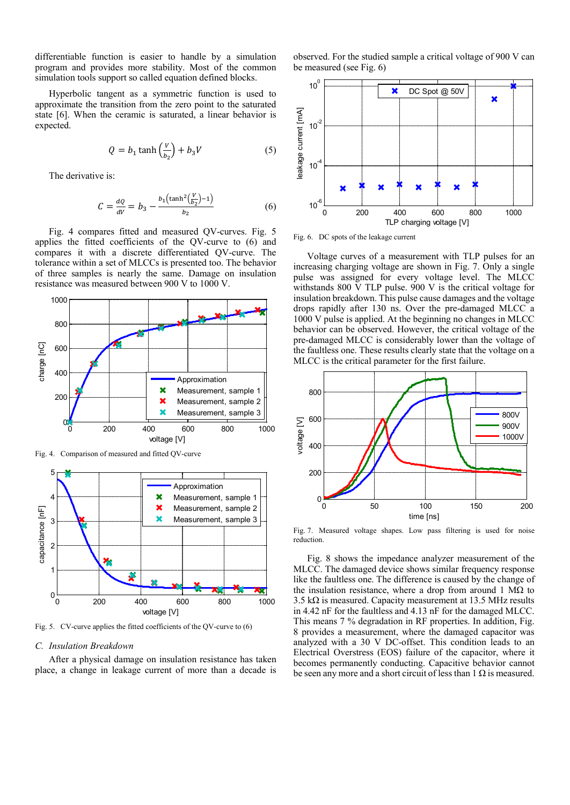differentiable function is easier to handle by a simulation program and provides more stability. Most of the common simulation tools support so called equation defined blocks.

Hyperbolic tangent as a symmetric function is used to approximate the transition from the zero point to the saturated state [\[6\].](#page-5-5) When the ceramic is saturated, a linear behavior is expected.

$$
Q = b_1 \tanh\left(\frac{V}{b_2}\right) + b_3 V \tag{5}
$$

The derivative is:

$$
C = \frac{dQ}{dV} = b_3 - \frac{b_1 \left(\tanh^2(\frac{V}{b_2}) - 1\right)}{b_2} \tag{6}
$$

[Fig. 4](#page-2-0) compares fitted and measured QV-curves. [Fig. 5](#page-2-1) applies the fitted coefficients of the QV-curve to (6) and compares it with a discrete differentiated QV-curve. The tolerance within a set of MLCCs is presented too. The behavior of three samples is nearly the same. Damage on insulation resistance was measured between 900 V to 1000 V.



<span id="page-2-0"></span>Fig. 4. Comparison of measured and fitted QV-curve



<span id="page-2-1"></span>Fig. 5. CV-curve applies the fitted coefficients of the QV-curve to (6)

## *C. Insulation Breakdown*

After a physical damage on insulation resistance has taken place, a change in leakage current of more than a decade is observed. For the studied sample a critical voltage of 900 V can be measured (see [Fig. 6\)](#page-2-2)



<span id="page-2-2"></span>Fig. 6. DC spots of the leakage current

Voltage curves of a measurement with TLP pulses for an increasing charging voltage are shown in [Fig. 7.](#page-2-3) Only a single pulse was assigned for every voltage level. The MLCC withstands 800 V TLP pulse. 900 V is the critical voltage for insulation breakdown. This pulse cause damages and the voltage drops rapidly after 130 ns. Over the pre-damaged MLCC a 1000 V pulse is applied. At the beginning no changes in MLCC behavior can be observed. However, the critical voltage of the pre-damaged MLCC is considerably lower than the voltage of the faultless one. These results clearly state that the voltage on a MLCC is the critical parameter for the first failure.



<span id="page-2-3"></span>Fig. 7. Measured voltage shapes. Low pass filtering is used for noise reduction.

[Fig. 8](#page-3-0) shows the impedance analyzer measurement of the MLCC. The damaged device shows similar frequency response like the faultless one. The difference is caused by the change of the insulation resistance, where a drop from around 1 MΩ to 3.5 kΩ is measured. Capacity measurement at 13.5 MHz results in 4.42 nF for the faultless and 4.13 nF for the damaged MLCC. This means 7 % degradation in RF properties. In addition, [Fig.](#page-3-0)  [8](#page-3-0) provides a measurement, where the damaged capacitor was analyzed with a 30 V DC-offset. This condition leads to an Electrical Overstress (EOS) failure of the capacitor, where it becomes permanently conducting. Capacitive behavior cannot be seen any more and a short circuit of less than  $1 \Omega$  is measured.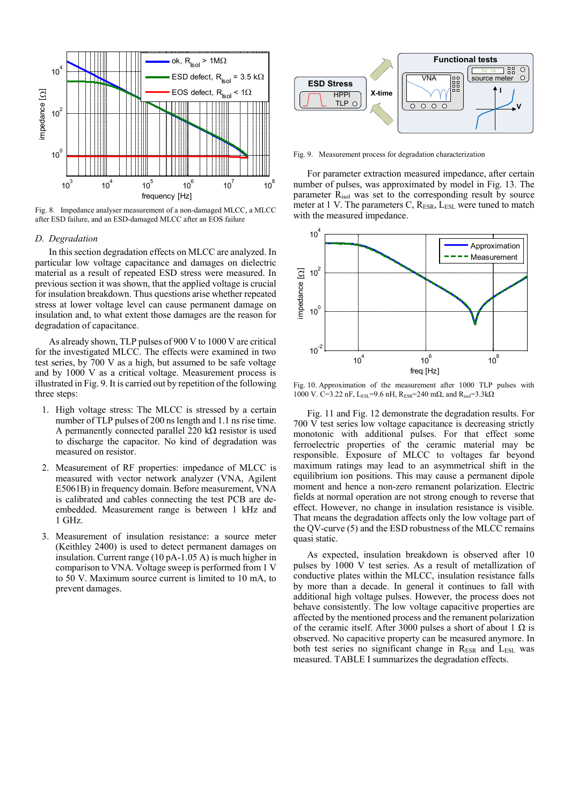

<span id="page-3-0"></span>Fig. 8. Impedance analyser measurement of a non-damaged MLCC, a MLCC after ESD failure, and an ESD-damaged MLCC after an EOS failure

### <span id="page-3-2"></span>*D. Degradation*

In this section degradation effects on MLCC are analyzed. In particular low voltage capacitance and damages on dielectric material as a result of repeated ESD stress were measured. In previous section it was shown, that the applied voltage is crucial for insulation breakdown. Thus questions arise whether repeated stress at lower voltage level can cause permanent damage on insulation and, to what extent those damages are the reason for degradation of capacitance.

As already shown, TLP pulses of 900 V to 1000 V are critical for the investigated MLCC. The effects were examined in two test series, by 700 V as a high, but assumed to be safe voltage and by 1000 V as a critical voltage. Measurement process is illustrated i[n Fig. 9.](#page-3-1) It is carried out by repetition of the following three steps:

- 1. High voltage stress: The MLCC is stressed by a certain number of TLP pulses of 200 ns length and 1.1 ns rise time. A permanently connected parallel 220 k $\Omega$  resistor is used to discharge the capacitor. No kind of degradation was measured on resistor.
- 2. Measurement of RF properties: impedance of MLCC is measured with vector network analyzer (VNA, Agilent E5061B) in frequency domain. Before measurement, VNA is calibrated and cables connecting the test PCB are deembedded. Measurement range is between 1 kHz and 1 GHz.
- 3. Measurement of insulation resistance: a source meter (Keithley 2400) is used to detect permanent damages on insulation. Current range (10 pA-1.05 A) is much higher in comparison to VNA. Voltage sweep is performed from 1 V to 50 V. Maximum source current is limited to 10 mA, to prevent damages.



<span id="page-3-1"></span>Fig. 9. Measurement process for degradation characterization

For parameter extraction measured impedance, after certain number of pulses, was approximated by model in [Fig. 13.](#page-4-0) The parameter Risol was set to the corresponding result by source meter at 1 V. The parameters C, R<sub>ESR</sub>, L<sub>ESL</sub> were tuned to match with the measured impedance.



Fig. 10. Approximation of the measurement after 1000 TLP pulses with 1000 V. C=3.22 nF, L<sub>ESL</sub>=9.6 nH, R<sub>ESR</sub>=240 mΩ, and R<sub>isol</sub>=3.3kΩ

[Fig. 11](#page-4-1) an[d Fig. 12](#page-4-2) demonstrate the degradation results. For 700 V test series low voltage capacitance is decreasing strictly monotonic with additional pulses. For that effect some ferroelectric properties of the ceramic material may be responsible. Exposure of MLCC to voltages far beyond maximum ratings may lead to an asymmetrical shift in the equilibrium ion positions. This may cause a permanent dipole moment and hence a non-zero remanent polarization. Electric fields at normal operation are not strong enough to reverse that effect. However, no change in insulation resistance is visible. That means the degradation affects only the low voltage part of the QV-curve (5) and the ESD robustness of the MLCC remains quasi static.

As expected, insulation breakdown is observed after 10 pulses by 1000 V test series. As a result of metallization of conductive plates within the MLCC, insulation resistance falls by more than a decade. In general it continues to fall with additional high voltage pulses. However, the process does not behave consistently. The low voltage capacitive properties are affected by the mentioned process and the remanent polarization of the ceramic itself. After 3000 pulses a short of about 1  $\Omega$  is observed. No capacitive property can be measured anymore. In both test series no significant change in  $R_{ESR}$  and  $L_{ESL}$  was measured. [TABLE I](#page-4-3) summarizes the degradation effects.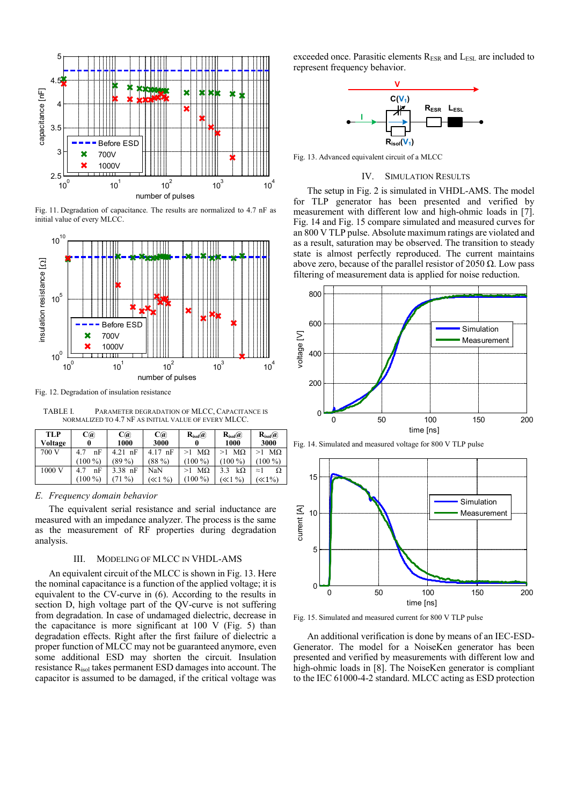

<span id="page-4-1"></span>Fig. 11. Degradation of capacitance. The results are normalized to 4.7 nF as initial value of every MLCC.



<span id="page-4-2"></span>Fig. 12. Degradation of insulation resistance

<span id="page-4-3"></span>TABLE I. PARAMETER DEGRADATION OF MLCC, CAPACITANCE IS NORMALIZED TO 4.7 NF AS INITIAL VALUE OF EVERY MLCC.

| <b>TLP</b><br>Voltage | $\mathbf{C}(\widehat{\bm{a}})$ | C(a)<br>1000               | C(a)<br>3000           | $\mathbf{R}_{\text{isol}}(a)$ | $\mathbf{R}_{\text{isol}}(a)$<br>1000 | $\mathbf{R}_{\text{isol}}(a)$<br>3000             |
|-----------------------|--------------------------------|----------------------------|------------------------|-------------------------------|---------------------------------------|---------------------------------------------------|
| 700 V                 | nF<br>4.7<br>$(100\%)$         | nF<br>4.21<br>(89 %)       | nF<br>4.17<br>$(88\%)$ | МΩ<br>$(100\%)$               | $M\Omega$<br>$(100\%)$                | $M\Omega$<br>$(100\%)$                            |
| 1000 V                | nF<br>4.7<br>(100 %)           | $3.38$ nF<br>$\frac{0}{0}$ | NaN<br>$\ll 1 \%$      | МΩ<br>$100\%$                 | $k\Omega$<br>$\ll$ 1 %)               | Ω<br>$\approx$ 1<br>$\langle \langle 1\% \rangle$ |

## *E. Frequency domain behavior*

The equivalent serial resistance and serial inductance are measured with an impedance analyzer. The process is the same as the measurement of RF properties during degradation analysis.

# III. MODELING OF MLCC IN VHDL-AMS

An equivalent circuit of the MLCC is shown i[n Fig. 13.](#page-4-0) Here the nominal capacitance is a function of the applied voltage; it is equivalent to the CV-curve in (6). According to the results in section [D,](#page-3-2) high voltage part of the QV-curve is not suffering from degradation. In case of undamaged dielectric, decrease in the capacitance is more significant at 100 V [\(Fig. 5\)](#page-2-1) than degradation effects. Right after the first failure of dielectric a proper function of MLCC may not be guaranteed anymore, even some additional ESD may shorten the circuit. Insulation resistance Risol takes permanent ESD damages into account. The capacitor is assumed to be damaged, if the critical voltage was

exceeded once. Parasitic elements RESR and LESL are included to represent frequency behavior.



<span id="page-4-0"></span>Fig. 13. Advanced equivalent circuit of a MLCC

### IV. SIMULATION RESULTS

The setup i[n Fig. 2](#page-1-0) is simulated in VHDL-AMS. The model for TLP generator has been presented and verified by measurement with different low and high-ohmic loads in [\[7\].](#page-5-6) [Fig. 14](#page-4-4) and [Fig. 15](#page-4-5) compare simulated and measured curves for an 800 V TLP pulse. Absolute maximum ratings are violated and as a result, saturation may be observed. The transition to steady state is almost perfectly reproduced. The current maintains above zero, because of the parallel resistor of 2050  $\Omega$ . Low pass filtering of measurement data is applied for noise reduction.



<span id="page-4-4"></span>



<span id="page-4-5"></span>Fig. 15. Simulated and measured current for 800 V TLP pulse

An additional verification is done by means of an IEC-ESD-Generator. The model for a NoiseKen generator has been presented and verified by measurements with different low and high-ohmic loads in [\[8\].](#page-5-7) The NoiseKen generator is compliant to the IEC 61000-4-2 standard. MLCC acting as ESD protection